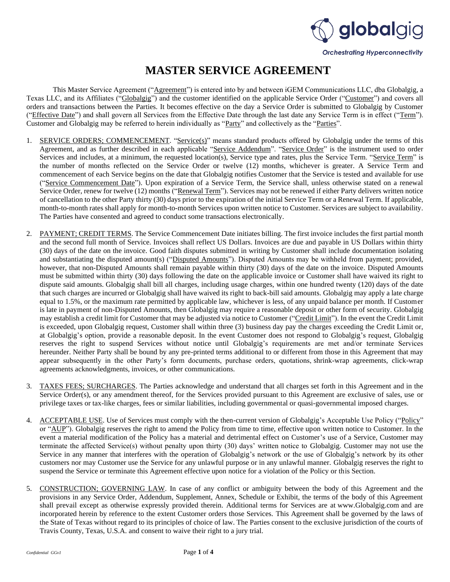

## **MASTER SERVICE AGREEMENT**

This Master Service Agreement ("Agreement") is entered into by and between iGEM Communications LLC, dba Globalgig, a Texas LLC, and its Affiliates ("Globalgig") and the customer identified on the applicable Service Order ("Customer") and covers all orders and transactions between the Parties. It becomes effective on the day a Service Order is submitted to Globalgig by Customer ("Effective Date") and shall govern all Services from the Effective Date through the last date any Service Term is in effect ("Term"). Customer and Globalgig may be referred to herein individually as "Party" and collectively as the "Parties".

- 1. SERVICE ORDERS; COMMENCEMENT. "Service(s)" means standard products offered by Globalgig under the terms of this Agreement, and as further described in each applicable "Service Addendum". "Service Order" is the instrument used to order Services and includes, at a minimum, the requested location(s), Service type and rates, plus the Service Term. "Service Term" is the number of months reflected on the Service Order or twelve (12) months, whichever is greater. A Service Term and commencement of each Service begins on the date that Globalgig notifies Customer that the Service is tested and available for use ("Service Commencement Date"). Upon expiration of a Service Term, the Service shall, unless otherwise stated on a renewal Service Order, renew for twelve (12) months ("Renewal Term"). Services may not be renewed if either Party delivers written notice of cancellation to the other Party thirty (30) days prior to the expiration of the initial Service Term or a Renewal Term. If applicable, month-to-month rates shall apply for month-to-month Services upon written notice to Customer. Services are subject to availability. The Parties have consented and agreed to conduct some transactions electronically.
- 2. PAYMENT; CREDIT TERMS. The Service Commencement Date initiates billing. The first invoice includes the first partial month and the second full month of Service. Invoices shall reflect US Dollars. Invoices are due and payable in US Dollars within thirty (30) days of the date on the invoice. Good faith disputes submitted in writing by Customer shall include documentation isolating and substantiating the disputed amount(s) ("Disputed Amounts"). Disputed Amounts may be withheld from payment; provided, however, that non-Disputed Amounts shall remain payable within thirty (30) days of the date on the invoice. Disputed Amounts must be submitted within thirty (30) days following the date on the applicable invoice or Customer shall have waived its right to dispute said amounts. Globalgig shall bill all charges, including usage charges, within one hundred twenty (120) days of the date that such charges are incurred or Globalgig shall have waived its right to back-bill said amounts. Globalgig may apply a late charge equal to 1.5%, or the maximum rate permitted by applicable law, whichever is less, of any unpaid balance per month. If Customer is late in payment of non-Disputed Amounts, then Globalgig may require a reasonable deposit or other form of security. Globalgig may establish a credit limit for Customer that may be adjusted via notice to Customer ("Credit Limit"). In the event the Credit Limit is exceeded, upon Globalgig request, Customer shall within three (3) business day pay the charges exceeding the Credit Limit or, at Globalgig's option, provide a reasonable deposit. In the event Customer does not respond to Globalgig's request, Globalgig reserves the right to suspend Services without notice until Globalgig's requirements are met and/or terminate Services hereunder. Neither Party shall be bound by any pre-printed terms additional to or different from those in this Agreement that may appear subsequently in the other Party's form documents, purchase orders, quotations, shrink-wrap agreements, click-wrap agreements acknowledgments, invoices, or other communications.
- 3. TAXES FEES; SURCHARGES. The Parties acknowledge and understand that all charges set forth in this Agreement and in the Service Order(s), or any amendment thereof, for the Services provided pursuant to this Agreement are exclusive of sales, use or privilege taxes or tax-like charges, fees or similar liabilities, including governmental or quasi-governmental imposed charges.
- 4. ACCEPTABLE USE. Use of Services must comply with the then-current version of Globalgig's Acceptable Use Policy ("Policy" or "AUP"). Globalgig reserves the right to amend the Policy from time to time, effective upon written notice to Customer. In the event a material modification of the Policy has a material and detrimental effect on Customer's use of a Service, Customer may terminate the affected Service(s) without penalty upon thirty (30) days' written notice to Globalgig. Customer may not use the Service in any manner that interferes with the operation of Globalgig's network or the use of Globalgig's network by its other customers nor may Customer use the Service for any unlawful purpose or in any unlawful manner. Globalgig reserves the right to suspend the Service or terminate this Agreement effective upon notice for a violation of the Policy or this Section.
- 5. CONSTRUCTION; GOVERNING LAW. In case of any conflict or ambiguity between the body of this Agreement and the provisions in any Service Order, Addendum, Supplement, Annex, Schedule or Exhibit, the terms of the body of this Agreement shall prevail except as otherwise expressly provided therein. Additional terms for Services are at www.Globalgig.com and are incorporated herein by reference to the extent Customer orders those Services. This Agreement shall be governed by the laws of the State of Texas without regard to its principles of choice of law. The Parties consent to the exclusive jurisdiction of the courts of Travis County, Texas, U.S.A. and consent to waive their right to a jury trial.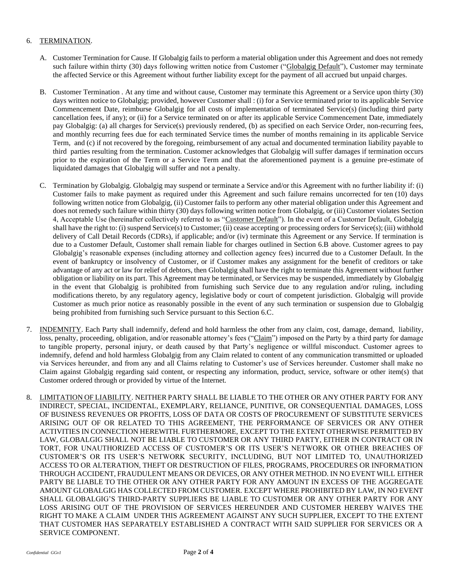## 6. TERMINATION.

- A. Customer Termination for Cause. If Globalgig fails to perform a material obligation under this Agreement and does not remedy such failure within thirty (30) days following written notice from Customer ("Globalgig Default"), Customer may terminate the affected Service or this Agreement without further liability except for the payment of all accrued but unpaid charges.
- B. Customer Termination . At any time and without cause, Customer may terminate this Agreement or a Service upon thirty (30) days written notice to Globalgig; provided, however Customer shall : (i) for a Service terminated prior to its applicable Service Commencement Date, reimburse Globalgig for all costs of implementation of terminated Service(s) (including third party cancellation fees, if any); or (ii) for a Service terminated on or after its applicable Service Commencement Date, immediately pay Globalgig: (a) all charges for Service(s) previously rendered, (b) as specified on each Service Order, non-recurring fees, and monthly recurring fees due for each terminated Service times the number of months remaining in its applicable Service Term, and (c) if not recovered by the foregoing, reimbursement of any actual and documented termination liability payable to third parties resulting from the termination. Customer acknowledges that Globalgig will suffer damages if termination occurs prior to the expiration of the Term or a Service Term and that the aforementioned payment is a genuine pre-estimate of liquidated damages that Globalgig will suffer and not a penalty.
- C. Termination by Globalgig. Globalgig may suspend or terminate a Service and/or this Agreement with no further liability if: (i) Customer fails to make payment as required under this Agreement and such failure remains uncorrected for ten (10) days following written notice from Globalgig, (ii) Customer fails to perform any other material obligation under this Agreement and does not remedy such failure within thirty (30) days following written notice from Globalgig, or (iii) Customer violates Section 4, Acceptable Use (hereinafter collectively referred to as "Customer Default"). In the event of a Customer Default, Globalgig shall have the right to: (i) suspend Service(s) to Customer; (ii) cease accepting or processing orders for Service(s); (iii) withhold delivery of Call Detail Records (CDRs), if applicable; and/or (iv) terminate this Agreement or any Service. If termination is due to a Customer Default, Customer shall remain liable for charges outlined in Section 6.B above. Customer agrees to pay Globalgig's reasonable expenses (including attorney and collection agency fees) incurred due to a Customer Default. In the event of bankruptcy or insolvency of Customer, or if Customer makes any assignment for the benefit of creditors or take advantage of any act or law for relief of debtors, then Globalgig shall have the right to terminate this Agreement without further obligation or liability on its part. This Agreement may be terminated, or Services may be suspended, immediately by Globalgig in the event that Globalgig is prohibited from furnishing such Service due to any regulation and/or ruling, including modifications thereto, by any regulatory agency, legislative body or court of competent jurisdiction. Globalgig will provide Customer as much prior notice as reasonably possible in the event of any such termination or suspension due to Globalgig being prohibited from furnishing such Service pursuant to this Section 6.C.
- 7. INDEMNITY. Each Party shall indemnify, defend and hold harmless the other from any claim, cost, damage, demand, liability, loss, penalty, proceeding, obligation, and/or reasonable attorney's fees ("Claim") imposed on the Party by a third party for damage to tangible property, personal injury, or death caused by that Party's negligence or willful misconduct. Customer agrees to indemnify, defend and hold harmless Globalgig from any Claim related to content of any communication transmitted or uploaded via Services hereunder, and from any and all Claims relating to Customer's use of Services hereunder. Customer shall make no Claim against Globalgig regarding said content, or respecting any information, product, service, software or other item(s) that Customer ordered through or provided by virtue of the Internet.
- 8. LIMITATION OF LIABILITY. NEITHER PARTY SHALL BE LIABLE TO THE OTHER OR ANY OTHER PARTY FOR ANY INDIRECT, SPECIAL, INCIDENTAL, EXEMPLARY, RELIANCE, PUNITIVE, OR CONSEQUENTIAL DAMAGES, LOSS OF BUSINESS REVENUES OR PROFITS, LOSS OF DATA OR COSTS OF PROCUREMENT OF SUBSTITUTE SERVICES ARISING OUT OF OR RELATED TO THIS AGREEMENT, THE PERFORMANCE OF SERVICES OR ANY OTHER ACTIVITIES IN CONNECTION HEREWITH. FURTHERMORE, EXCEPT TO THE EXTENT OTHERWISE PERMITTED BY LAW, GLOBALGIG SHALL NOT BE LIABLE TO CUSTOMER OR ANY THIRD PARTY, EITHER IN CONTRACT OR IN TORT, FOR UNAUTHORIZED ACCESS OF CUSTOMER'S OR ITS USER'S NETWORK OR OTHER BREACHES OF CUSTOMER'S OR ITS USER'S NETWORK SECURITY, INCLUDING, BUT NOT LIMITED TO, UNAUTHORIZED ACCESS TO OR ALTERATION, THEFT OR DESTRUCTION OF FILES, PROGRAMS, PROCEDURES OR INFORMATION THROUGH ACCIDENT, FRAUDULENT MEANS OR DEVICES, OR ANY OTHER METHOD. IN NO EVENT WILL EITHER PARTY BE LIABLE TO THE OTHER OR ANY OTHER PARTY FOR ANY AMOUNT IN EXCESS OF THE AGGREGATE AMOUNT GLOBALGIG HAS COLLECTED FROM CUSTOMER. EXCEPT WHERE PROHIBITED BY LAW, IN NO EVENT SHALL GLOBALGIG'S THIRD-PARTY SUPPLIERS BE LIABLE TO CUSTOMER OR ANY OTHER PARTY FOR ANY LOSS ARISING OUT OF THE PROVISION OF SERVICES HEREUNDER AND CUSTOMER HEREBY WAIVES THE RIGHT TO MAKE A CLAIM UNDER THIS AGREEMENT AGAINST ANY SUCH SUPPLIER, EXCEPT TO THE EXTENT THAT CUSTOMER HAS SEPARATELY ESTABLISHED A CONTRACT WITH SAID SUPPLIER FOR SERVICES OR A SERVICE COMPONENT.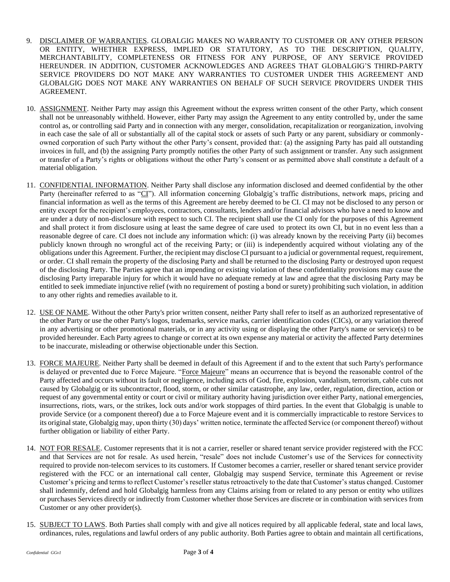- 9. DISCLAIMER OF WARRANTIES. GLOBALGIG MAKES NO WARRANTY TO CUSTOMER OR ANY OTHER PERSON OR ENTITY, WHETHER EXPRESS, IMPLIED OR STATUTORY, AS TO THE DESCRIPTION, QUALITY, MERCHANTABILITY, COMPLETENESS OR FITNESS FOR ANY PURPOSE, OF ANY SERVICE PROVIDED HEREUNDER. IN ADDITION, CUSTOMER ACKNOWLEDGES AND AGREES THAT GLOBALGIG'S THIRD-PARTY SERVICE PROVIDERS DO NOT MAKE ANY WARRANTIES TO CUSTOMER UNDER THIS AGREEMENT AND GLOBALGIG DOES NOT MAKE ANY WARRANTIES ON BEHALF OF SUCH SERVICE PROVIDERS UNDER THIS AGREEMENT.
- 10. ASSIGNMENT. Neither Party may assign this Agreement without the express written consent of the other Party, which consent shall not be unreasonably withheld. However, either Party may assign the Agreement to any entity controlled by, under the same control as, or controlling said Party and in connection with any merger, consolidation, recapitalization or reorganization, involving in each case the sale of all or substantially all of the capital stock or assets of such Party or any parent, subsidiary or commonlyowned corporation of such Party without the other Party's consent, provided that: (a) the assigning Party has paid all outstanding invoices in full, and (b) the assigning Party promptly notifies the other Party of such assignment or transfer. Any such assignment or transfer of a Party's rights or obligations without the other Party's consent or as permitted above shall constitute a default of a material obligation.
- 11. CONFIDENTIAL INFORMATION. Neither Party shall disclose any information disclosed and deemed confidential by the other Party (hereinafter referred to as "CI"). All information concerning Globalgig's traffic distributions, network maps, pricing and financial information as well as the terms of this Agreement are hereby deemed to be CI. CI may not be disclosed to any person or entity except for the recipient's employees, contractors, consultants, lenders and/or financial advisors who have a need to know and are under a duty of non-disclosure with respect to such CI. The recipient shall use the CI only for the purposes of this Agreement and shall protect it from disclosure using at least the same degree of care used to protect its own CI, but in no event less than a reasonable degree of care. CI does not include any information which: (i) was already known by the receiving Party (ii) becomes publicly known through no wrongful act of the receiving Party; or (iii) is independently acquired without violating any of the obligations under this Agreement. Further, the recipient may disclose CI pursuant to a judicial or governmental request, requirement, or order. CI shall remain the property of the disclosing Party and shall be returned to the disclosing Party or destroyed upon request of the disclosing Party. The Parties agree that an impending or existing violation of these confidentiality provisions may cause the disclosing Party irreparable injury for which it would have no adequate remedy at law and agree that the disclosing Party may be entitled to seek immediate injunctive relief (with no requirement of posting a bond or surety) prohibiting such violation, in addition to any other rights and remedies available to it.
- 12. USE OF NAME. Without the other Party's prior written consent, neither Party shall refer to itself as an authorized representative of the other Party or use the other Party's logos, trademarks, service marks, carrier identification codes (CICs), or any variation thereof in any advertising or other promotional materials, or in any activity using or displaying the other Party's name or service(s) to be provided hereunder. Each Party agrees to change or correct at its own expense any material or activity the affected Party determines to be inaccurate, misleading or otherwise objectionable under this Section.
- 13. FORCE MAJEURE. Neither Party shall be deemed in default of this Agreement if and to the extent that such Party's performance is delayed or prevented due to Force Majeure. "Force Majeure" means an occurrence that is beyond the reasonable control of the Party affected and occurs without its fault or negligence, including acts of God, fire, explosion, vandalism, terrorism, cable cuts not caused by Globalgig or its subcontractor, flood, storm, or other similar catastrophe, any law, order, regulation, direction, action or request of any governmental entity or court or civil or military authority having jurisdiction over either Party, national emergencies, insurrections, riots, wars, or the strikes, lock outs and/or work stoppages of third parties. In the event that Globalgig is unable to provide Service (or a component thereof) due a to Force Majeure event and it is commercially impracticable to restore Services to its original state, Globalgig may, upon thirty (30) days' written notice, terminate the affected Service (or component thereof) without further obligation or liability of either Party.
- 14. NOT FOR RESALE. Customer represents that it is not a carrier, reseller or shared tenant service provider registered with the FCC and that Services are not for resale. As used herein, "resale" does not include Customer's use of the Services for connectivity required to provide non-telecom services to its customers. If Customer becomes a carrier, reseller or shared tenant service provider registered with the FCC or an international call center, Globalgig may suspend Service, terminate this Agreement or revise Customer's pricing and terms to reflect Customer's reseller status retroactively to the date that Customer's status changed. Customer shall indemnify, defend and hold Globalgig harmless from any Claims arising from or related to any person or entity who utilizes or purchases Services directly or indirectly from Customer whether those Services are discrete or in combination with services from Customer or any other provider(s).
- 15. SUBJECT TO LAWS. Both Parties shall comply with and give all notices required by all applicable federal, state and local laws, ordinances, rules, regulations and lawful orders of any public authority. Both Parties agree to obtain and maintain all certifications,